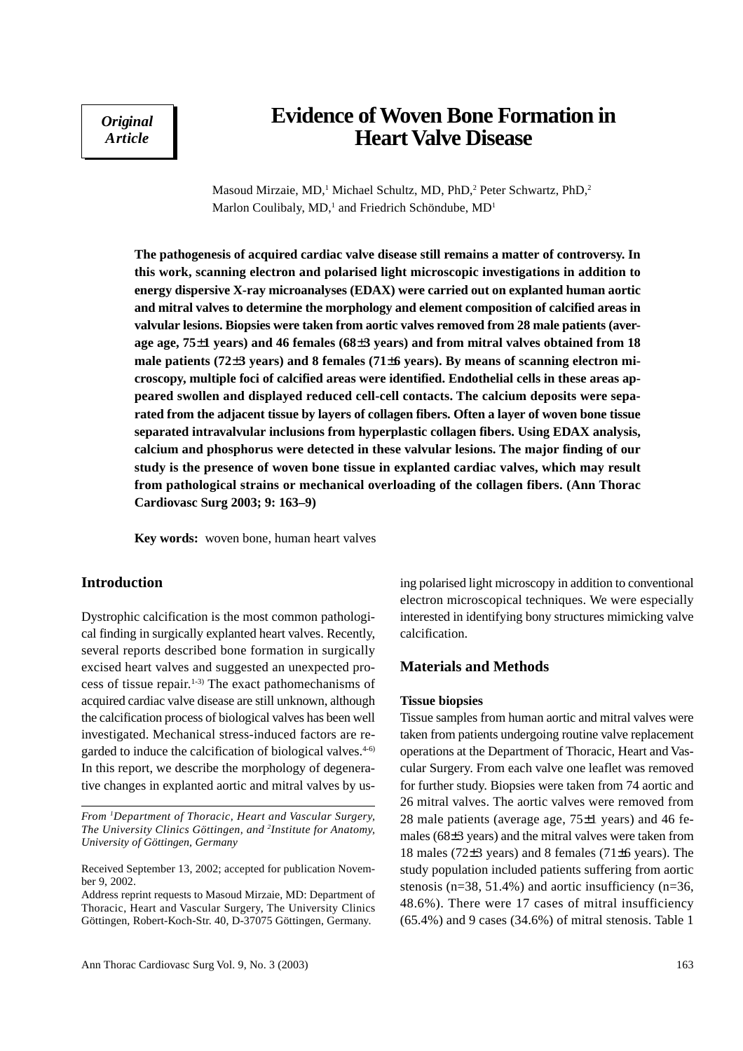*Original Article*

# **Evidence of Woven Bone Formation in Heart Valve Disease**

Masoud Mirzaie, MD,<sup>1</sup> Michael Schultz, MD, PhD,<sup>2</sup> Peter Schwartz, PhD,<sup>2</sup> Marlon Coulibaly, MD,<sup>1</sup> and Friedrich Schöndube, MD<sup>1</sup>

**The pathogenesis of acquired cardiac valve disease still remains a matter of controversy. In this work, scanning electron and polarised light microscopic investigations in addition to energy dispersive X-ray microanalyses (EDAX) were carried out on explanted human aortic and mitral valves to determine the morphology and element composition of calcified areas in valvular lesions. Biopsies were taken from aortic valves removed from 28 male patients (average age, 75**±**1 years) and 46 females (68**±**3 years) and from mitral valves obtained from 18 male patients (72**±**3 years) and 8 females (71**±**6 years). By means of scanning electron microscopy, multiple foci of calcified areas were identified. Endothelial cells in these areas appeared swollen and displayed reduced cell-cell contacts. The calcium deposits were separated from the adjacent tissue by layers of collagen fibers. Often a layer of woven bone tissue separated intravalvular inclusions from hyperplastic collagen fibers. Using EDAX analysis, calcium and phosphorus were detected in these valvular lesions. The major finding of our study is the presence of woven bone tissue in explanted cardiac valves, which may result from pathological strains or mechanical overloading of the collagen fibers. (Ann Thorac Cardiovasc Surg 2003; 9: 163–9)**

**Key words:** woven bone, human heart valves

# **Introduction**

Dystrophic calcification is the most common pathological finding in surgically explanted heart valves. Recently, several reports described bone formation in surgically excised heart valves and suggested an unexpected process of tissue repair.1-3) The exact pathomechanisms of acquired cardiac valve disease are still unknown, although the calcification process of biological valves has been well investigated. Mechanical stress-induced factors are regarded to induce the calcification of biological valves. $4-6$ In this report, we describe the morphology of degenerative changes in explanted aortic and mitral valves by us-

*From 1 Department of Thoracic, Heart and Vascular Surgery, The University Clinics Göttingen, and 2 Institute for Anatomy, University of Göttingen, Germany*

ing polarised light microscopy in addition to conventional electron microscopical techniques. We were especially interested in identifying bony structures mimicking valve calcification.

# **Materials and Methods**

#### **Tissue biopsies**

Tissue samples from human aortic and mitral valves were taken from patients undergoing routine valve replacement operations at the Department of Thoracic, Heart and Vascular Surgery. From each valve one leaflet was removed for further study. Biopsies were taken from 74 aortic and 26 mitral valves. The aortic valves were removed from 28 male patients (average age, 75±1 years) and 46 females (68±3 years) and the mitral valves were taken from 18 males (72±3 years) and 8 females (71±6 years). The study population included patients suffering from aortic stenosis ( $n=38$ , 51.4%) and aortic insufficiency ( $n=36$ , 48.6%). There were 17 cases of mitral insufficiency (65.4%) and 9 cases (34.6%) of mitral stenosis. Table 1

Received September 13, 2002; accepted for publication November 9, 2002.

Address reprint requests to Masoud Mirzaie, MD: Department of Thoracic, Heart and Vascular Surgery, The University Clinics Göttingen, Robert-Koch-Str. 40, D-37075 Göttingen, Germany.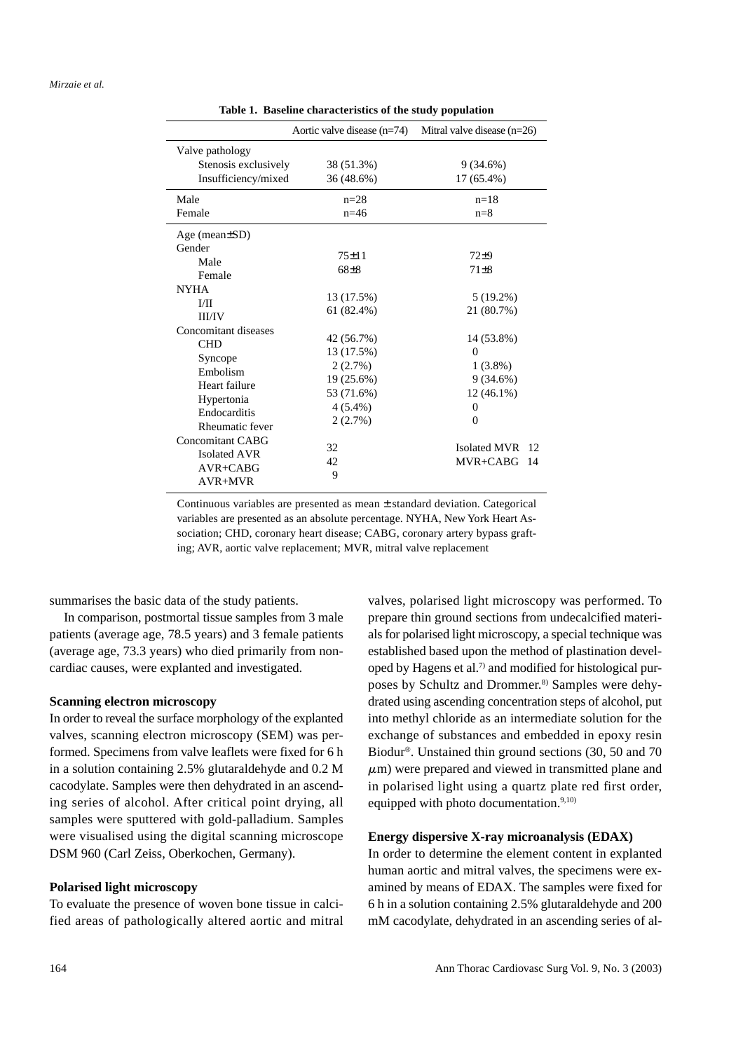|                                                                                       | Aortic valve disease $(n=74)$       | Mitral valve disease $(n=26)$               |
|---------------------------------------------------------------------------------------|-------------------------------------|---------------------------------------------|
| Valve pathology                                                                       |                                     |                                             |
| Stenosis exclusively                                                                  | 38 (51.3%)                          | $9(34.6\%)$                                 |
| Insufficiency/mixed                                                                   | 36 (48.6%)                          | $17(65.4\%)$                                |
| Male                                                                                  | $n = 28$                            | $n=18$                                      |
| Female                                                                                | $n=46$                              | $n=8$                                       |
| Age (mean $\pm SD$ )                                                                  |                                     |                                             |
| Gender                                                                                | $75 \pm 11$                         | $72\pm9$                                    |
| Male<br>Female                                                                        | $68+8$                              | $71 \pm 8$                                  |
| <b>NYHA</b>                                                                           | 13 (17.5%)                          | $5(19.2\%)$                                 |
| I/II<br><b>III/IV</b>                                                                 | $61(82.4\%)$                        | 21 (80.7%)                                  |
| Concomitant diseases<br><b>CHD</b>                                                    | 42 (56.7%)<br>13 (17.5%)            | 14 (53.8%)<br>$\Omega$                      |
| Syncope<br>Embolism<br>Heart failure<br>Hypertonia<br>Endocarditis<br>Rheumatic fever | 2(2.7%)<br>19 (25.6%)<br>53 (71.6%) | $1(3.8\%)$<br>9(34.6%)<br>$12(46.1\%)$      |
|                                                                                       | $4(5.4\%)$<br>2(2.7%)               | $\theta$<br>$\Omega$                        |
| <b>Concomitant CABG</b><br>Isolated AVR<br>$AVR+CABG$<br>$AVR+MVR$                    | 32<br>42<br>9                       | <b>Isolated MVR</b><br>12<br>MVR+CABG<br>14 |

**Table 1. Baseline characteristics of the study population**

Continuous variables are presented as mean ± standard deviation. Categorical variables are presented as an absolute percentage. NYHA, New York Heart Association; CHD, coronary heart disease; CABG, coronary artery bypass grafting; AVR, aortic valve replacement; MVR, mitral valve replacement

summarises the basic data of the study patients.

In comparison, postmortal tissue samples from 3 male patients (average age, 78.5 years) and 3 female patients (average age, 73.3 years) who died primarily from noncardiac causes, were explanted and investigated.

## **Scanning electron microscopy**

In order to reveal the surface morphology of the explanted valves, scanning electron microscopy (SEM) was performed. Specimens from valve leaflets were fixed for 6 h in a solution containing 2.5% glutaraldehyde and 0.2 M cacodylate. Samples were then dehydrated in an ascending series of alcohol. After critical point drying, all samples were sputtered with gold-palladium. Samples were visualised using the digital scanning microscope DSM 960 (Carl Zeiss, Oberkochen, Germany).

## **Polarised light microscopy**

To evaluate the presence of woven bone tissue in calcified areas of pathologically altered aortic and mitral

valves, polarised light microscopy was performed. To prepare thin ground sections from undecalcified materials for polarised light microscopy, a special technique was established based upon the method of plastination developed by Hagens et al.7) and modified for histological purposes by Schultz and Drommer.<sup>8)</sup> Samples were dehydrated using ascending concentration steps of alcohol, put into methyl chloride as an intermediate solution for the exchange of substances and embedded in epoxy resin Biodur®. Unstained thin ground sections (30, 50 and 70  $\mu$ m) were prepared and viewed in transmitted plane and in polarised light using a quartz plate red first order, equipped with photo documentation. $9,10$ )

#### **Energy dispersive X-ray microanalysis (EDAX)**

In order to determine the element content in explanted human aortic and mitral valves, the specimens were examined by means of EDAX. The samples were fixed for 6 h in a solution containing 2.5% glutaraldehyde and 200 mM cacodylate, dehydrated in an ascending series of al-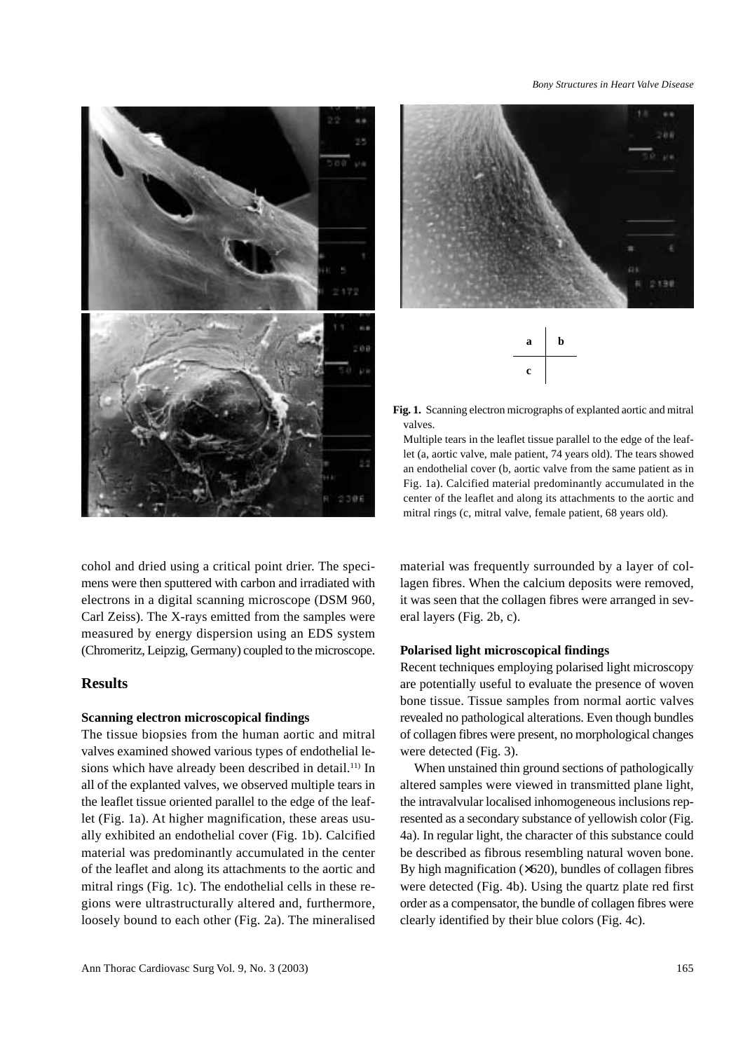

cohol and dried using a critical point drier. The specimens were then sputtered with carbon and irradiated with electrons in a digital scanning microscope (DSM 960, Carl Zeiss). The X-rays emitted from the samples were measured by energy dispersion using an EDS system (Chromeritz, Leipzig, Germany) coupled to the microscope.

### **Results**

#### **Scanning electron microscopical findings**

The tissue biopsies from the human aortic and mitral valves examined showed various types of endothelial lesions which have already been described in detail.<sup>11)</sup> In all of the explanted valves, we observed multiple tears in the leaflet tissue oriented parallel to the edge of the leaflet (Fig. 1a). At higher magnification, these areas usually exhibited an endothelial cover (Fig. 1b). Calcified material was predominantly accumulated in the center of the leaflet and along its attachments to the aortic and mitral rings (Fig. 1c). The endothelial cells in these regions were ultrastructurally altered and, furthermore, loosely bound to each other (Fig. 2a). The mineralised

#### *Bony Structures in Heart Valve Disease*





**Fig. 1.** Scanning electron micrographs of explanted aortic and mitral valves.

Multiple tears in the leaflet tissue parallel to the edge of the leaflet (a, aortic valve, male patient, 74 years old). The tears showed an endothelial cover (b, aortic valve from the same patient as in Fig. 1a). Calcified material predominantly accumulated in the center of the leaflet and along its attachments to the aortic and mitral rings (c, mitral valve, female patient, 68 years old).

material was frequently surrounded by a layer of collagen fibres. When the calcium deposits were removed, it was seen that the collagen fibres were arranged in several layers (Fig. 2b, c).

#### **Polarised light microscopical findings**

Recent techniques employing polarised light microscopy are potentially useful to evaluate the presence of woven bone tissue. Tissue samples from normal aortic valves revealed no pathological alterations. Even though bundles of collagen fibres were present, no morphological changes were detected (Fig. 3).

When unstained thin ground sections of pathologically altered samples were viewed in transmitted plane light, the intravalvular localised inhomogeneous inclusions represented as a secondary substance of yellowish color (Fig. 4a). In regular light, the character of this substance could be described as fibrous resembling natural woven bone. By high magnification  $(\times 620)$ , bundles of collagen fibres were detected (Fig. 4b). Using the quartz plate red first order as a compensator, the bundle of collagen fibres were clearly identified by their blue colors (Fig. 4c).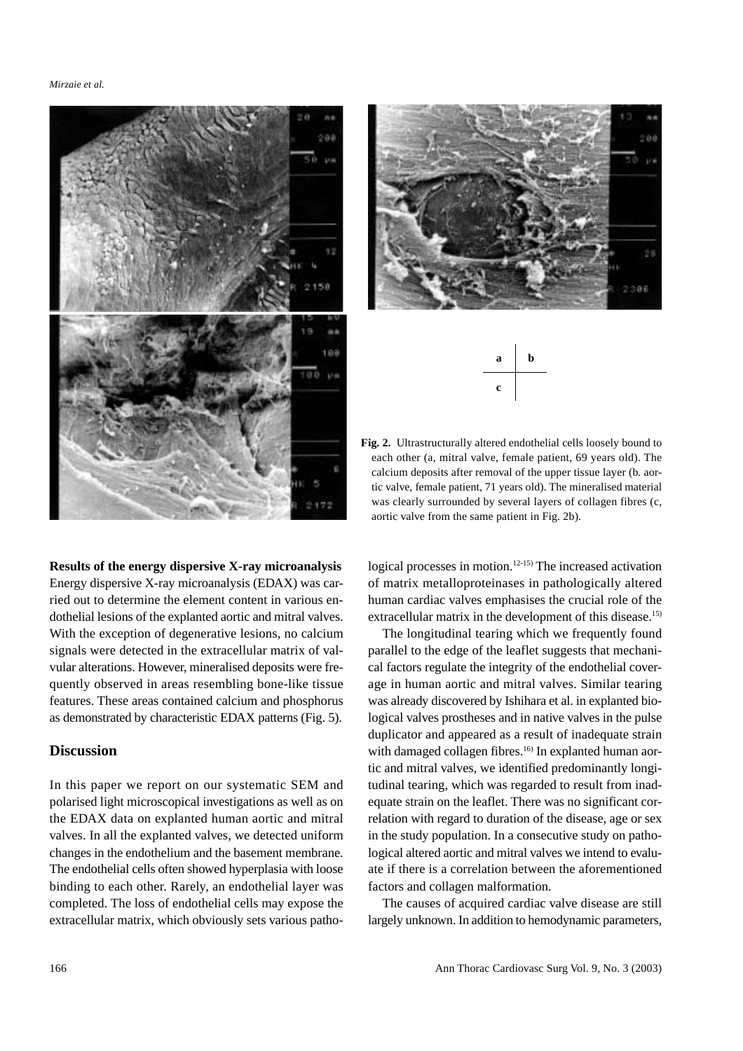*Mirzaie et al.*



186



**Fig. 2.** Ultrastructurally altered endothelial cells loosely bound to each other (a, mitral valve, female patient, 69 years old). The calcium deposits after removal of the upper tissue layer (b. aortic valve, female patient, 71 years old). The mineralised material was clearly surrounded by several layers of collagen fibres (c, aortic valve from the same patient in Fig. 2b).

**Results of the energy dispersive X-ray microanalysis** Energy dispersive X-ray microanalysis (EDAX) was carried out to determine the element content in various endothelial lesions of the explanted aortic and mitral valves. With the exception of degenerative lesions, no calcium signals were detected in the extracellular matrix of valvular alterations. However, mineralised deposits were frequently observed in areas resembling bone-like tissue features. These areas contained calcium and phosphorus as demonstrated by characteristic EDAX patterns (Fig. 5).

# **Discussion**

In this paper we report on our systematic SEM and polarised light microscopical investigations as well as on the EDAX data on explanted human aortic and mitral valves. In all the explanted valves, we detected uniform changes in the endothelium and the basement membrane. The endothelial cells often showed hyperplasia with loose binding to each other. Rarely, an endothelial layer was completed. The loss of endothelial cells may expose the extracellular matrix, which obviously sets various pathological processes in motion.<sup>12-15)</sup> The increased activation of matrix metalloproteinases in pathologically altered human cardiac valves emphasises the crucial role of the extracellular matrix in the development of this disease.<sup>15)</sup>

The longitudinal tearing which we frequently found parallel to the edge of the leaflet suggests that mechanical factors regulate the integrity of the endothelial coverage in human aortic and mitral valves. Similar tearing was already discovered by Ishihara et al. in explanted biological valves prostheses and in native valves in the pulse duplicator and appeared as a result of inadequate strain with damaged collagen fibres.<sup>16)</sup> In explanted human aortic and mitral valves, we identified predominantly longitudinal tearing, which was regarded to result from inadequate strain on the leaflet. There was no significant correlation with regard to duration of the disease, age or sex in the study population. In a consecutive study on pathological altered aortic and mitral valves we intend to evaluate if there is a correlation between the aforementioned factors and collagen malformation.

The causes of acquired cardiac valve disease are still largely unknown. In addition to hemodynamic parameters,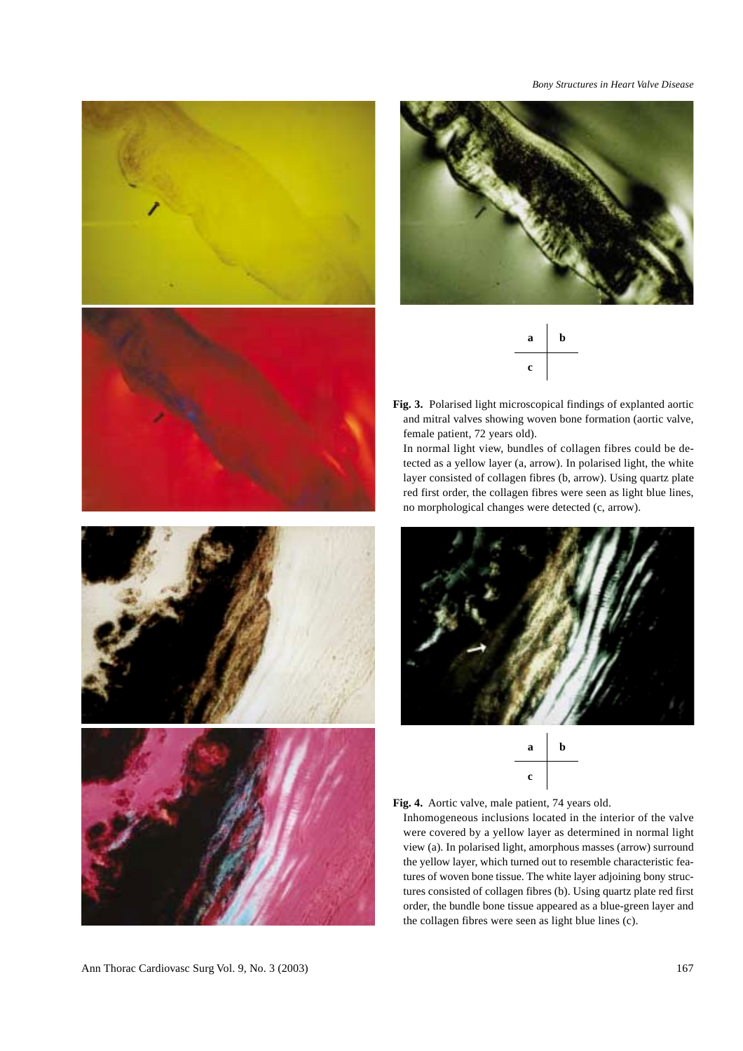

*Bony Structures in Heart Valve Disease*





**Fig. 3.** Polarised light microscopical findings of explanted aortic and mitral valves showing woven bone formation (aortic valve, female patient, 72 years old).

In normal light view, bundles of collagen fibres could be detected as a yellow layer (a, arrow). In polarised light, the white layer consisted of collagen fibres (b, arrow). Using quartz plate red first order, the collagen fibres were seen as light blue lines, no morphological changes were detected (c, arrow).







Inhomogeneous inclusions located in the interior of the valve were covered by a yellow layer as determined in normal light view (a). In polarised light, amorphous masses (arrow) surround the yellow layer, which turned out to resemble characteristic features of woven bone tissue. The white layer adjoining bony structures consisted of collagen fibres (b). Using quartz plate red first order, the bundle bone tissue appeared as a blue-green layer and the collagen fibres were seen as light blue lines (c).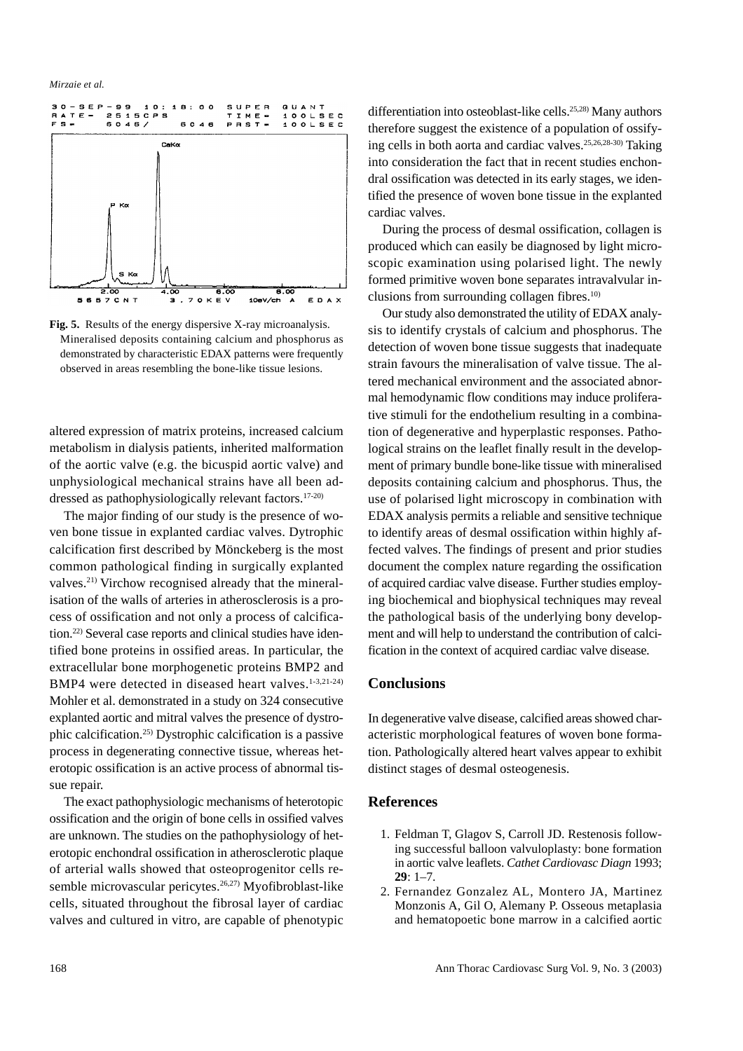

**Fig. 5.** Results of the energy dispersive X-ray microanalysis. Mineralised deposits containing calcium and phosphorus as demonstrated by characteristic EDAX patterns were frequently observed in areas resembling the bone-like tissue lesions.

altered expression of matrix proteins, increased calcium metabolism in dialysis patients, inherited malformation of the aortic valve (e.g. the bicuspid aortic valve) and unphysiological mechanical strains have all been addressed as pathophysiologically relevant factors.<sup>17-20)</sup>

The major finding of our study is the presence of woven bone tissue in explanted cardiac valves. Dytrophic calcification first described by Mönckeberg is the most common pathological finding in surgically explanted valves.21) Virchow recognised already that the mineralisation of the walls of arteries in atherosclerosis is a process of ossification and not only a process of calcification.22) Several case reports and clinical studies have identified bone proteins in ossified areas. In particular, the extracellular bone morphogenetic proteins BMP2 and BMP4 were detected in diseased heart valves.<sup>1-3,21-24)</sup> Mohler et al. demonstrated in a study on 324 consecutive explanted aortic and mitral valves the presence of dystrophic calcification.25) Dystrophic calcification is a passive process in degenerating connective tissue, whereas heterotopic ossification is an active process of abnormal tissue repair.

The exact pathophysiologic mechanisms of heterotopic ossification and the origin of bone cells in ossified valves are unknown. The studies on the pathophysiology of heterotopic enchondral ossification in atherosclerotic plaque of arterial walls showed that osteoprogenitor cells resemble microvascular pericytes.<sup>26,27)</sup> Myofibroblast-like cells, situated throughout the fibrosal layer of cardiac valves and cultured in vitro, are capable of phenotypic differentiation into osteoblast-like cells.<sup>25,28)</sup> Many authors therefore suggest the existence of a population of ossifying cells in both aorta and cardiac valves.25,26,28-30) Taking into consideration the fact that in recent studies enchondral ossification was detected in its early stages, we identified the presence of woven bone tissue in the explanted cardiac valves.

During the process of desmal ossification, collagen is produced which can easily be diagnosed by light microscopic examination using polarised light. The newly formed primitive woven bone separates intravalvular inclusions from surrounding collagen fibres. $10$ 

Our study also demonstrated the utility of EDAX analysis to identify crystals of calcium and phosphorus. The detection of woven bone tissue suggests that inadequate strain favours the mineralisation of valve tissue. The altered mechanical environment and the associated abnormal hemodynamic flow conditions may induce proliferative stimuli for the endothelium resulting in a combination of degenerative and hyperplastic responses. Pathological strains on the leaflet finally result in the development of primary bundle bone-like tissue with mineralised deposits containing calcium and phosphorus. Thus, the use of polarised light microscopy in combination with EDAX analysis permits a reliable and sensitive technique to identify areas of desmal ossification within highly affected valves. The findings of present and prior studies document the complex nature regarding the ossification of acquired cardiac valve disease. Further studies employing biochemical and biophysical techniques may reveal the pathological basis of the underlying bony development and will help to understand the contribution of calcification in the context of acquired cardiac valve disease.

### **Conclusions**

In degenerative valve disease, calcified areas showed characteristic morphological features of woven bone formation. Pathologically altered heart valves appear to exhibit distinct stages of desmal osteogenesis.

#### **References**

- 1. Feldman T, Glagov S, Carroll JD. Restenosis following successful balloon valvuloplasty: bone formation in aortic valve leaflets. *Cathet Cardiovasc Diagn* 1993; **29**: 1–7.
- 2. Fernandez Gonzalez AL, Montero JA, Martinez Monzonis A, Gil O, Alemany P. Osseous metaplasia and hematopoetic bone marrow in a calcified aortic